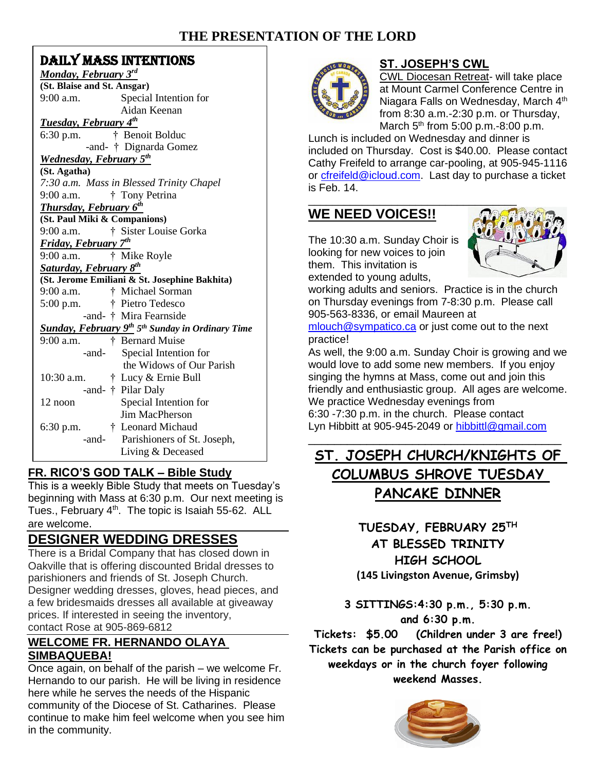### **THE PRESENTATION OF THE LORD**

#### DAILY MASS INTENTIONS

| Monday, February 3rd                                    |
|---------------------------------------------------------|
| (St. Blaise and St. Ansgar)                             |
| Special Intention for<br>9:00 a.m.                      |
| Aidan Keenan                                            |
| Tuesday, February 4 <sup>th</sup>                       |
| † Benoit Bolduc<br>$6:30$ p.m.                          |
| -and- † Dignarda Gomez                                  |
| <b>Wednesday, February 5th</b>                          |
| (St. Agatha)                                            |
| 7:30 a.m. Mass in Blessed Trinity Chapel                |
| † Tony Petrina<br>9:00 a.m.                             |
| <b>Thursday, February 6th</b>                           |
| (St. Paul Miki & Companions)                            |
| † Sister Louise Gorka<br>9:00 a.m.                      |
| Friday, February 7 <sup>th</sup>                        |
| † Mike Royle<br>$9:00$ a.m.                             |
| <b>Saturday, February 8th</b>                           |
| (St. Jerome Emiliani & St. Josephine Bakhita)           |
| † Michael Sorman<br>$9:00$ a.m.                         |
| † Pietro Tedesco<br>$5:00$ p.m.                         |
| -and- † Mira Fearnside                                  |
| <b>Sunday, February 9th 5th Sunday in Ordinary Time</b> |
| $9:00$ a.m.<br>† Bernard Muise                          |
| Special Intention for<br>-and-                          |
| the Widows of Our Parish                                |
| 10:30 a.m.<br>† Lucy & Ernie Bull                       |
| -and- † Pilar Daly                                      |
| Special Intention for<br>12 noon                        |
| <b>Jim MacPherson</b>                                   |
| † Leonard Michaud<br>$6:30$ p.m.                        |
| -and-<br>Parishioners of St. Joseph,                    |
| Living & Deceased                                       |

#### **FR. RICO'S GOD TALK – Bible Study**

This is a weekly Bible Study that meets on Tuesday's beginning with Mass at 6:30 p.m. Our next meeting is Tues., February 4<sup>th</sup>. The topic is Isaiah 55-62. ALL are welcome.

### **DESIGNER WEDDING DRESSES**

There is a Bridal Company that has closed down in Oakville that is offering discounted Bridal dresses to parishioners and friends of St. Joseph Church. Designer wedding dresses, gloves, head pieces, and a few bridesmaids dresses all available at giveaway prices. If interested in seeing the inventory, contact Rose at 905-869-6812

#### **WELCOME FR. HERNANDO OLAYA SIMBAQUEBA!**

Once again, on behalf of the parish – we welcome Fr. Hernando to our parish. He will be living in residence here while he serves the needs of the Hispanic community of the Diocese of St. Catharines. Please continue to make him feel welcome when you see him in the community.



#### **ST. JOSEPH'S CWL**

CWL Diocesan Retreat- will take place at Mount Carmel Conference Centre in Niagara Falls on Wednesday, March 4<sup>th</sup> from 8:30 a.m.-2:30 p.m. or Thursday, March 5<sup>th</sup> from 5:00 p.m.-8:00 p.m.

Lunch is included on Wednesday and dinner is included on Thursday. Cost is \$40.00. Please contact Cathy Freifeld to arrange car-pooling, at 905-945-1116 or [cfreifeld@icloud.com.](mailto:cfreifeld@icloud.com) Last day to purchase a ticket is Feb. 14.

#### **WE NEED VOICES!!**

The 10:30 a.m. Sunday Choir is looking for new voices to join them. This invitation is extended to young adults,



working adults and seniors. Practice is in the church on Thursday evenings from 7-8:30 p.m. Please call 905-563-8336, or email Maureen at

[mlouch@sympatico.ca](mailto:mlouch@sympatico.ca) or just come out to the next practice!

As well, the 9:00 a.m. Sunday Choir is growing and we would love to add some new members. If you enjoy singing the hymns at Mass, come out and join this friendly and enthusiastic group. All ages are welcome. We practice Wednesday evenings from 6:30 -7:30 p.m. in the church. Please contact Lyn Hibbitt at 905-945-2049 or [hibbittl@gmail.com](mailto:hibbittl@gmail.com)

# **ST. JOSEPH CHURCH/KNIGHTS OF COLUMBUS SHROVE TUESDAY PANCAKE DINNER**

\_\_\_\_\_\_\_\_\_\_\_\_\_\_\_\_\_\_\_\_\_\_\_\_\_\_\_\_\_\_\_\_\_\_\_\_\_\_\_

**TUESDAY, FEBRUARY 25TH AT BLESSED TRINITY HIGH SCHOOL (145 Livingston Avenue, Grimsby)**

**3 SITTINGS:4:30 p.m., 5:30 p.m. and 6:30 p.m.**

**Tickets: \$5.00 (Children under 3 are free!) Tickets can be purchased at the Parish office on weekdays or in the church foyer following weekend Masses.**